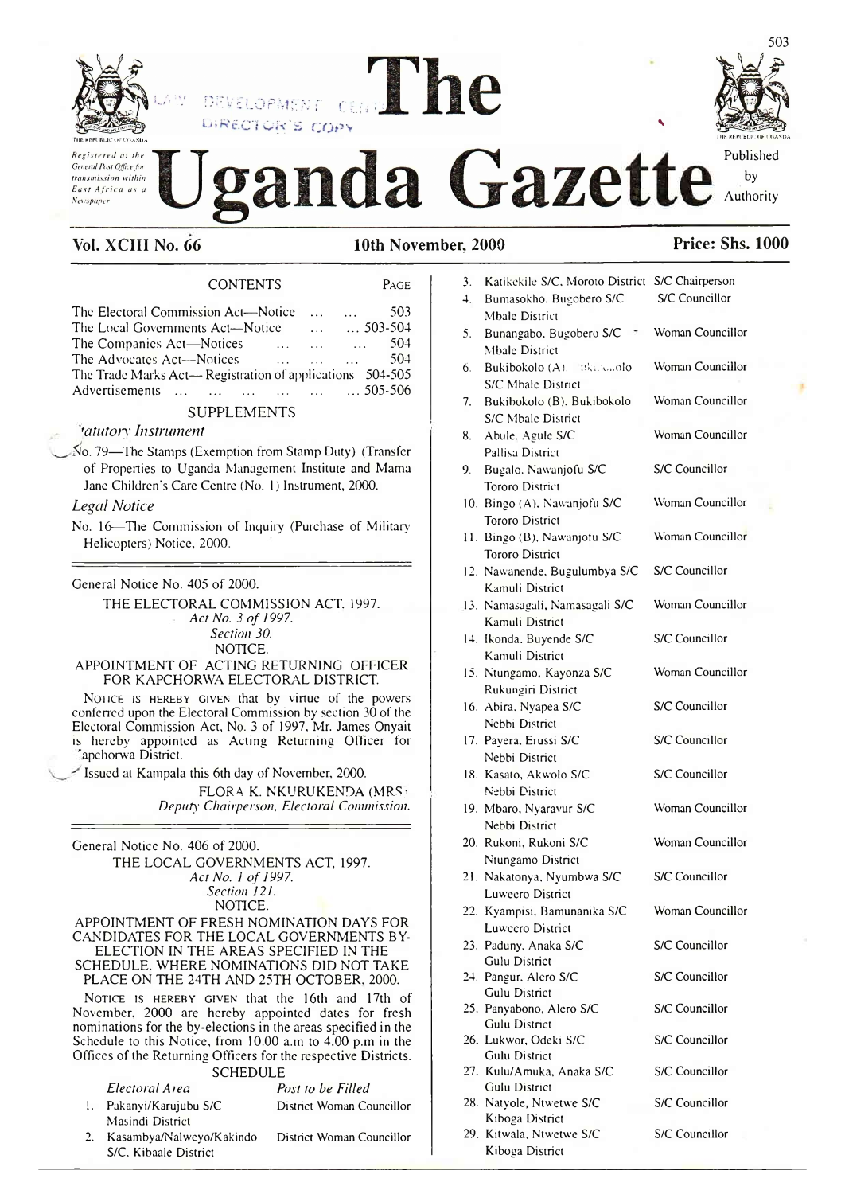

Registered at the General Post Office for transmission within East Africa as a Newspaper

# DEVELOPMENT RECTOR'S COPY Gazette



Published by Authority

# Vol. XCIII No. 66

10th November, 2000

Kiboga District

| <b>CONTENTS</b>                                                           | PAGE                                           |
|---------------------------------------------------------------------------|------------------------------------------------|
| The Electoral Commission Act—Notice<br>$\mathbf{1}$                       | 503<br>$\sim 100$                              |
| The Local Governments Act—Notice<br>$\mathbf{L}$                          | $\ldots 503 - 504$                             |
| The Companies Act-Notices<br>$\sim 100$ km s $^{-1}$<br>$\sim$ 100 $\sim$ | 504<br>$\mathcal{L} = \mathcal{L} \mathcal{L}$ |
| The Advocates Act-Notices<br>$\mathbf{1}$ $\mathbf{2}$ $\mathbf{3}$       | 504<br><b>SALE</b>                             |
| The Trade Marks Act— Registration of applications 504-505                 |                                                |
| Advertisements<br><b>Carl County</b>                                      | $\ldots$ $505-506$                             |

# **SUPPLEMENTS**

# *'tatutory Instrument*

No. 79—The Stamps (Exemption from Stamp Duty) (Transfer of Properties to Uganda Management Institute and Mama Jane Children's Care Centre (No. 1) Instrument, 2000.

# **Legal Notice**

No. 16-The Commission of Inquiry (Purchase of Military Helicopters) Notice, 2000.

General Notice No. 405 of 2000.

THE ELECTORAL COMMISSION ACT, 1997. Act No. 3 of 1997. Section 30. NOTICE.

# APPOINTMENT OF ACTING RETURNING OFFICER FOR KAPCHORWA ELECTORAL DISTRICT.

NOTICE IS HEREBY GIVEN that by virtue of the powers conferred upon the Electoral Commission by section 30 of the Electoral Commission Act, No. 3 of 1997, Mr. James Onyait is hereby appointed as Acting Returning Officer for apchorwa District.

Issued at Kampala this 6th day of November, 2000.

FLORA K. NKURUKENDA (MRS) Deputy Chairperson, Electoral Commission.

General Notice No. 406 of 2000. THE LOCAL GOVERNMENTS ACT, 1997. Act No. 1 of 1997. Section 121. NOTICE. APPOINTMENT OF FRESH NOMINATION DAYS FOR CANDIDATES FOR THE LOCAL GOVERNMENTS BY-ELECTION IN THE AREAS SPECIFIED IN THE SCHEDULE, WHERE NOMINATIONS DID NOT TAKE

PLACE ON THE 24TH AND 25TH OCTOBER, 2000.

NOTICE IS HEREBY GIVEN that the 16th and 17th of November, 2000 are hereby appointed dates for fresh nominations for the by-elections in the areas specified in the Schedule to this Notice, from 10.00 a.m to 4.00 p.m in the Offices of the Returning Officers for the respective Districts.

# **SCHEDULE**

Electoral Area Post to be Filled 1. Pakanyi/Karujubu S/C District Woman Councillor Masindi District

 $\overline{2}$ . Kasambya/Nalweyo/Kakindo District Woman Councillor S/C. Kibaale District

# **Price: Shs. 1000**

| 3. | Katikekile S/C, Moroto District S/C Chairperson  |                  |
|----|--------------------------------------------------|------------------|
| 4. | Bumasokho. Bugobero S/C                          | S/C Councillor   |
|    | <b>Mbale District</b>                            |                  |
| 5. | Bunangabo, Bugobero S/C<br><b>Mbale District</b> | Woman Councillor |
| 6. | Bukibokolo (A), lakacaolo                        | Woman Councillor |
|    | S/C Mbale District                               |                  |
| 7. | Bukibokolo (B), Bukibokolo                       | Woman Councillor |
|    | S/C Mbale District                               |                  |
| 8. | Abule, Agule S/C                                 | Woman Councillor |
|    | Pallisa District                                 |                  |
| 9. | Bugalo, Nawanjofu S/C                            | S/C Councillor   |
|    | <b>Tororo District</b>                           |                  |
|    | 10. Bingo (A), Nawanjofu S/C                     | Woman Councillor |
|    | <b>Tororo District</b>                           |                  |
|    |                                                  | Woman Councillor |
|    | 11. Bingo (B), Nawanjofu S/C                     |                  |
|    | <b>Tororo District</b>                           |                  |
|    | 12. Nawanende, Bugulumbya S/C                    | S/C Councillor   |
|    | Kamuli District                                  |                  |
|    | 13. Namasagali, Namasagali S/C                   | Woman Councillor |
|    | Kamuli District                                  |                  |
|    | 14. Ikonda. Buyende S/C                          | S/C Councillor   |
|    | Kamuli District                                  |                  |
|    | 15. Ntungamo, Kayonza S/C                        | Woman Councillor |
|    | Rukungiri District                               |                  |
|    | 16. Abira, Nyapea S/C                            | S/C Councillor   |
|    | Nebbi District                                   |                  |
|    | 17. Payera. Erussi S/C                           | S/C Councillor   |
|    | Nebbi District                                   |                  |
|    | 18. Kasato, Akwolo S/C                           | S/C Councillor   |
|    | Nebbi District                                   |                  |
|    | 19. Mbaro, Nyaravur S/C                          | Woman Councillor |
|    | Nebbi District                                   |                  |
|    | 20. Rukoni, Rukoni S/C                           | Woman Councillor |
|    | Ntungamo District                                |                  |
|    | 21. Nakatonya, Nyumbwa S/C                       | S/C Councillor   |
|    |                                                  |                  |
|    | Luweero District                                 | Woman Councillor |
|    | 22. Kyampisi, Bamunanika S/C                     |                  |
|    | Luwcero District                                 |                  |
|    | 23. Paduny, Anaka S/C                            | S/C Councillor   |
|    | Gulu District                                    |                  |
|    | 24. Pangur, Alero S/C<br>Gulu District           | S/C Councillor   |
|    | 25. Panyabono, Alero S/C                         | S/C Councillor   |
|    | <b>Gulu District</b>                             |                  |
|    | 26. Lukwor, Odeki S/C                            | S/C Councillor   |
|    | <b>Gulu District</b>                             |                  |
|    | 27. Kulu/Amuka, Anaka S/C                        | S/C Councillor   |
|    | Gulu District                                    |                  |
|    | 28. Natyole, Ntwetwe S/C                         | S/C Councillor   |
|    | Kiboga District                                  |                  |
|    | 29. Kitwala, Ntwetwe S/C                         | S/C Councillor   |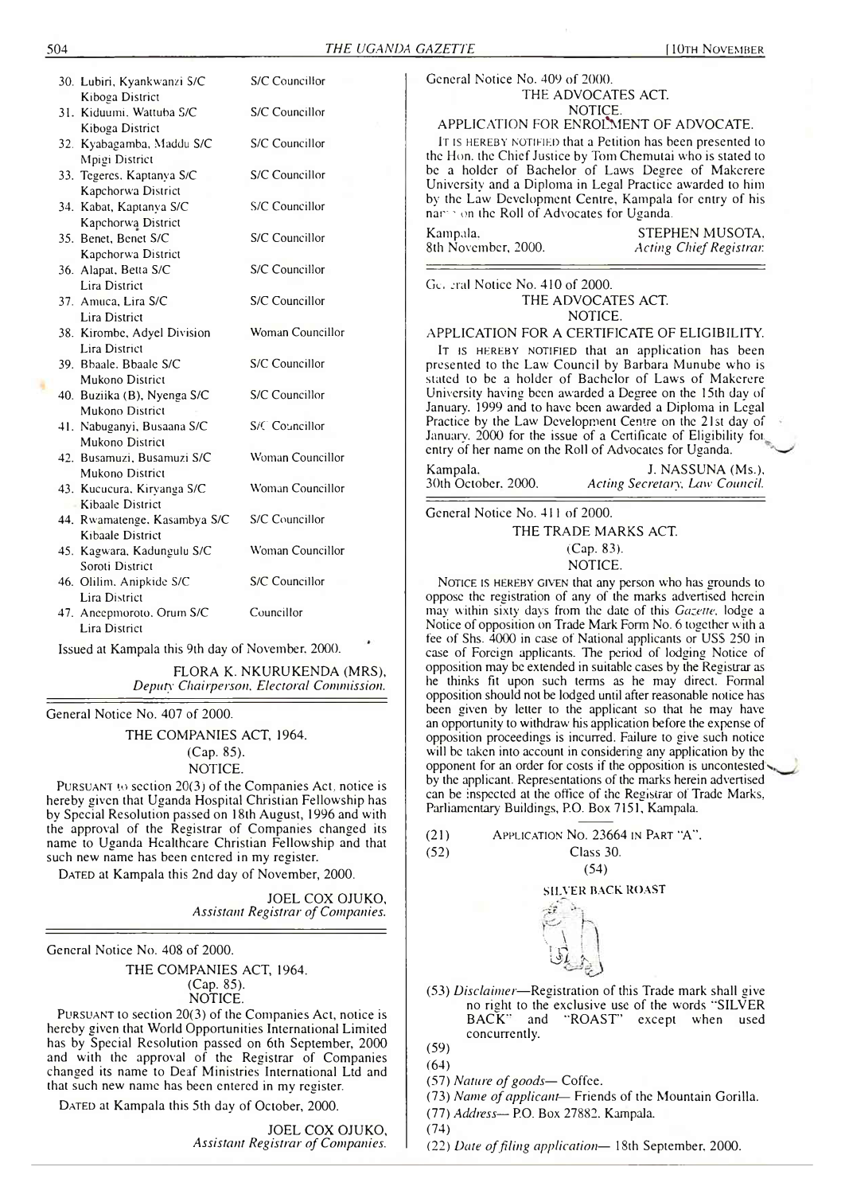| 30. Lubiri, Kyankwanzi S/C   | S/C Councillor   |
|------------------------------|------------------|
| Kiboga District              |                  |
| 31. Kiduumi. Wattuba S/C     | S/C Councillor   |
| Kiboga District              |                  |
| 32. Kyabagamba, Maddu S/C    | S/C Councillor   |
| Mpigi District               |                  |
| 33. Tegeres. Kaptanya S/C    | S/C Councillor   |
| Kapchorwa District           |                  |
| 34. Kabat, Kaptanya S/C      | S/C Councillor   |
| Kapchorwa District           |                  |
| 35. Benet. Benet S/C         | S/C Councillor   |
| Kapchorwa District           |                  |
| 36. Alapat, Betta S/C        | S/C Councillor   |
| Lira District                |                  |
| 37. Amuca, Lira S/C          | S/C Councillor   |
| <b>Lira District</b>         |                  |
| 38. Kirombe, Adyel Division  | Woman Councillor |
| Lira District                |                  |
| 39. Bbaale. Bbaale S/C       | S/C Councillor   |
| Mukono District              |                  |
| 40. Buziika (B), Nyenga S/C  | S/C Councillor   |
| Mukono District              |                  |
| 41. Nabuganyi, Busaana S/C   | $S/C$ Councillor |
| Mukono District              |                  |
| 42. Busamuzi, Busamuzi S/C   | Woman Councillor |
| Mukono District              |                  |
| 43. Kucucura, Kiryanga S/C   | Woman Councillor |
| Kibaale District             |                  |
| 44. Rwamatenge, Kasambya S/C | S/C Councillor   |
| <b>Kibaale District</b>      |                  |
| 45. Kagwara, Kadungulu S/C   | Woman Councillor |
| Soroti District              |                  |
| 46. Olilim. Anipkide S/C     | S/C Councillor   |
| <b>Lira District</b>         |                  |
| 47. Ancepmoroto, Orum S/C    | Councillor       |
| Lira District                |                  |
|                              |                  |

Issued at Kampala this 9th day of November. 2000.

FLORA K. NKURUKENDA (MRS), *Deputy' Chairperson. Electoral Commission.*

General Notice No. 407 of 2000.

THE COMPANIES ACT, 1964. (Cap. 85). NOTICE.

**Pursuant to** section **20(3)** of the Companies Act, notice is hereby given that Uganda Hospital Christian Fellowship has by Special Resolution passed on 18th August, 1996 and with the approval of the Registrar of Companies changed its name to Uganda Healthcare Christian Fellowship and that such new name has been entered in my register.

DATED at Kampala this 2nd day of November, 2000.

JOEL COX OJUKO, *Assistant Registrar of Companies.*

General Notice No. 408 of 2000.

THE COMPANIES ACT, 1964. (Cap. 85). NOTICE.

**Pursuant** to section **20(3)** of the Companies Act, notice is hereby given that World Opportunities International Limited has by Special Resolution passed on 6th September, **2000** and with the approval of the Registrar of Companies changed its name to Deaf Ministries International Ltd and that such new name has been entered in my register.

DATED at Kampala this 5th day of October, 2000.

JOEL COX OJUKO, *Assistant Registrar of Companies.* General Notice No. 409 of 2000. THE ADVOCATES ACT. NOTICE.

# APPLICATION FOR ENROLMENT OF ADVOCATE.

**It is hereby notified** that a Petition has been presented to the Hon. the Chief Justice by Tom Chemutai who is stated to be a holder of Bachelor of Laws Degree of Makerere University and a Diploma in Legal Practice awarded to him by the Law Development Centre, Kampala for entry of his nar - on the Roll of Advocates for Uganda.

Kampala, STEPHEN MUSOTA, Sth November, 2000. Acting Chief Registrar. 8th November, 2000. *Acting Chief Registrar*

Gc. eral Notice No. 410 of 2000. THE ADVOCATES ACT. NOTICE.

APPLICATION FOR A CERTIFICATE OF ELIGIBILITY.

**It is hereby notified** that an application has been presented to the Law Council by Barbara Munube who is stated to be a holder of Bachelor of Laws of Makerere University having been awarded a Degree on the 15th day of January. 1999 and to have been awarded a Diploma in Legal Practice by the Law Development Centre on the 21st day of January. 2000 for the issue of a Certificate of Eligibility for entry of her name on the Roll of Advocates for Uganda.

Kampala. J. NASSUNA (Ms.), 30th October. 2000. Acting Secretary, Law Council. 30th October. 2000. *Acting Secretary. Law Council.*

General Notice No. 411 of 2000.

THE TRADE MARKS ACT.

(Cap. 83).

NOTICE.

**Notice is hereby given** that any person who has grounds to oppose the registration of any of the marks advertised herein may within sixty days from the date of this *Gazette,* lodge a Notice of opposition on Trade Mark Form No. 6 together with a fee of Shs. 4000 in case of National applicants or USS 250 in case of Foreign applicants. The period of lodging Notice of opposition may be extended in suitable cases by the Registrar as he thinks fit upon such terms as he may direct. Formal opposition should not be lodged until after reasonable notice has been given by letter to the applicant so that he may have an opportunity to withdraw his application before the expense of opposition proceedings is incurred. Failure to give such notice will be taken into account in considering any application by the opponent for an order for costs if the opposition is uncontested by the applicant. Representations of the marks herein advertised can be inspected at the office of the Registrar of Trade Marks, Parliamentary Buildings, P.O. Box 7151, Kampala.

| (21) | APPLICATION No. 23664 IN PART "A". |
|------|------------------------------------|
| (52) | Class 30.                          |

(54)

#### SILVER BACK ROAST



(53) *Disclaimer*—Registration of this Trade mark shall give no right to the exclusive use of the words ''SILVER BACK" and "ROAST' except when used concurrently.

(59)

- (64)
- (57) Nature of goods— Coffee.
- (73) *Name of applicant* Friends of the Mountain Gorilla.
- (77) *Address* P.O. Box 27882. Kampala.

(74)

(22) *Date of filing application*— 18th September, 2000.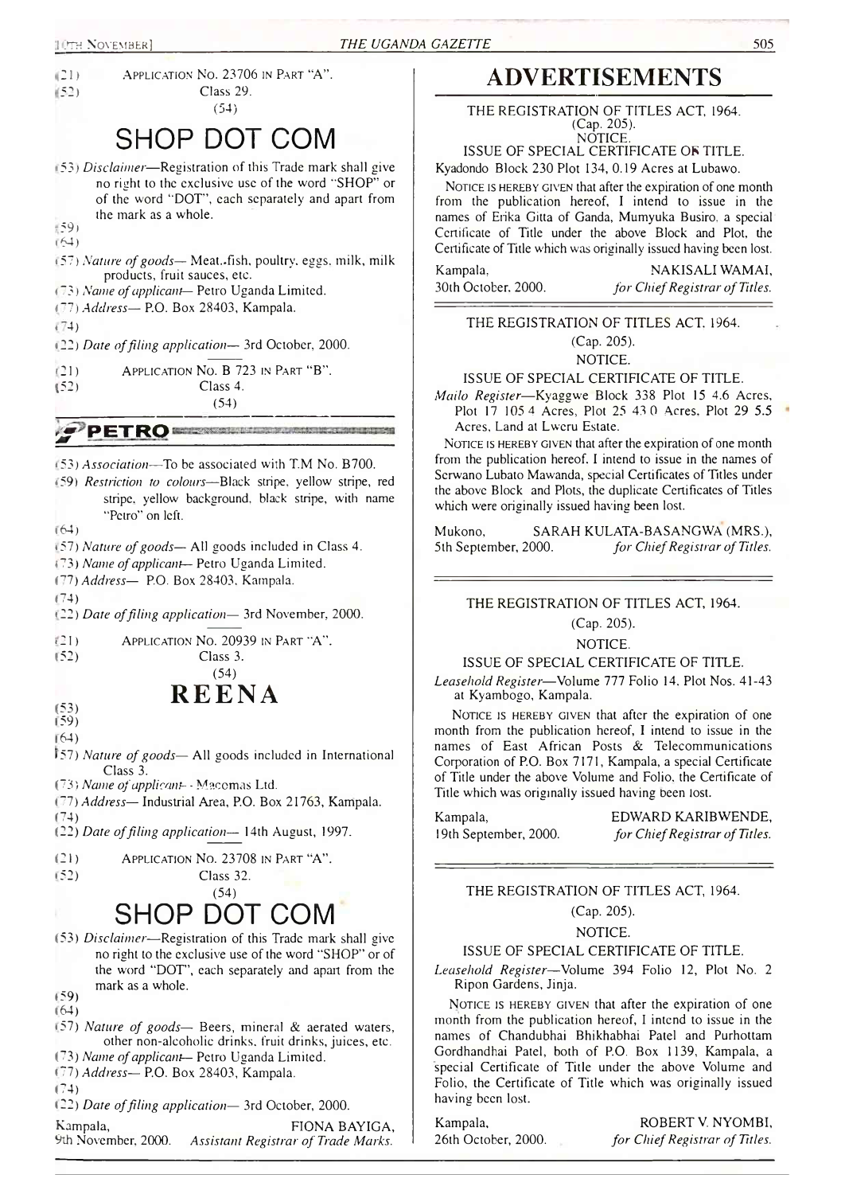

# **ADVERTISEMENTS**

THE REGISTRATION OF TITLES ACT. 1964. (Cap. 205). **NOTICE** 

ISSUE OF SPECIAL CERTIFICATE *OS* TITLE. Kyadondo Block 230 Plot 134, 0.19 Acres at Lubawo.

**Notice is hereby given** that after the expiration of one month from the publication hereof, I intend to issue in the names of Erika Gitta of Ganda, Mumyuka Busiro, a special Certificate of Title under the above Block and Plot, the Certificate of Title which was originally issued having been lost.

Kampala, NAKISALI WAMAI, 30th October. 2000. *for Chief Registrar of Titles.*

# THE REGISTRATION OF TITLES ACT. 1964. (Cap. 205).

NOTICE.

ISSUE OF SPECIAL CERTIFICATE OF TITLE.

*Mailo Register*—Kyaggwe Block 338 Plot 15 4.6 Acres, Plot 17 105 4 Acres, Plot 25 4.3 0 Acres. Plot 29 5.5 Acres, Land at Lweru Estate.

**Notice is hereby given** that after the expiration of one month from the publication hereof. I intend to issue in the names of Serwano Lubato Mawanda, special Certificates of Titles under the above Block and Plots, the duplicate Certificates of Titles which were originally issued having been lost.

Mukono, SARAH KULATA-BASANGWA (MRS.), 5 th September, 2000. *for Chief Registrar of Titles.*

THE REGISTRATION OF TITLES ACT, 1964.

# (Cap. 205).

# NOTICE.

ISSUE OF SPECIAL CERTIFICATE OF TITLE.

*Leasehold Register*—Volume *111* Folio 14. Plot Nos. 41-43 at Kyambogo, Kampala.

**Notice is hereby given** that after the expiration of one month from the publication hereof, I intend to issue in the names of East African Posts & Telecommunications Corporation of P.O. Box 7171, Kampala, a special Certificate of Title under the above Volume and Folio, the Certificate of Title which was originally issued having been lost.

Kampala, EDWARD KARIBWENDE, 19th September, 2000. *for Chief Registrar of Titles.*

THE REGISTRATION OF TITLES ACT, 1964. (Cap. 205).

NOTICE.

### ISSUE OF SPECIAL CERTIFICATE OF TITLE.

*Leasehold Register*—Volume 394 Folio 12, Plot No. 2 Ripon Gardens, Jinja.

NOTICE IS HEREBY GIVEN that after the expiration of one month from the publication hereof, I intend to issue in the names of Chandubhai Bhikhabhai Patel and Purhottam Gordhandhai Patel, both of P.O. Box 1139, Kampala, a special Certificate of Title under the above Volume and Folio, the Certificate of Title which was originally issued having been lost.

Kampala, ROBERT V. NYOMBI, 26th October, 2000. *for Chief Registrar of Titles.*